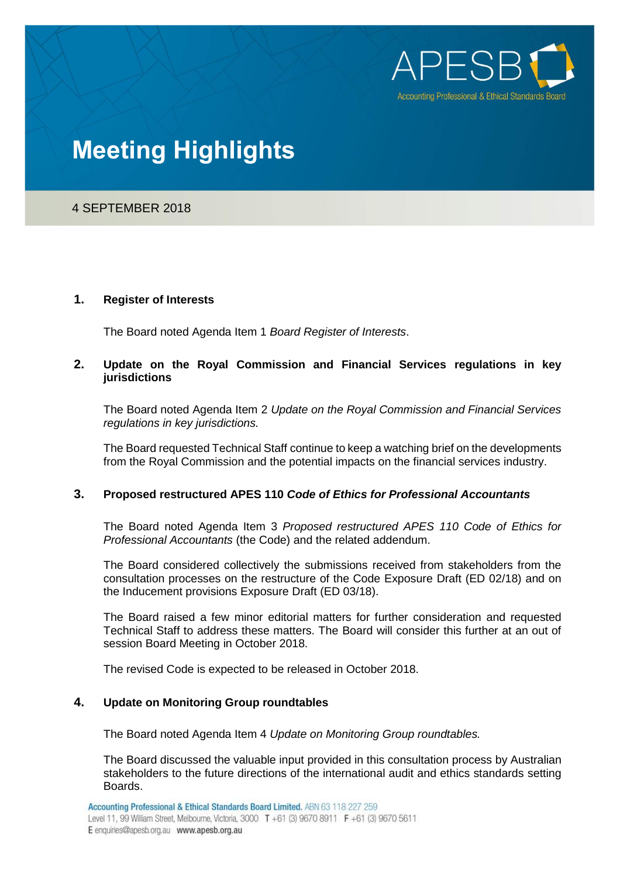

# **Meeting Highlights**

4 SEPTEMBER 2018

### **1. Register of Interests**

The Board noted Agenda Item 1 *Board Register of Interests*.

## **2. Update on the Royal Commission and Financial Services regulations in key jurisdictions**

The Board noted Agenda Item 2 *Update on the Royal Commission and Financial Services regulations in key jurisdictions.*

The Board requested Technical Staff continue to keep a watching brief on the developments from the Royal Commission and the potential impacts on the financial services industry.

## **3. Proposed restructured APES 110** *Code of Ethics for Professional Accountants*

The Board noted Agenda Item 3 *Proposed restructured APES 110 Code of Ethics for Professional Accountants* (the Code) and the related addendum.

The Board considered collectively the submissions received from stakeholders from the consultation processes on the restructure of the Code Exposure Draft (ED 02/18) and on the Inducement provisions Exposure Draft (ED 03/18).

The Board raised a few minor editorial matters for further consideration and requested Technical Staff to address these matters. The Board will consider this further at an out of session Board Meeting in October 2018.

The revised Code is expected to be released in October 2018.

# **4. Update on Monitoring Group roundtables**

The Board noted Agenda Item 4 *Update on Monitoring Group roundtables.*

The Board discussed the valuable input provided in this consultation process by Australian stakeholders to the future directions of the international audit and ethics standards setting Boards.

Accounting Professional & Ethical Standards Board Limited. ABN 63 118 227 259

Level 11, 99 William Street, Melbourne, Victoria, 3000 T +61 (3) 9670 8911 F +61 (3) 9670 5611 E enquiries@apesb.org.au www.apesb.org.au